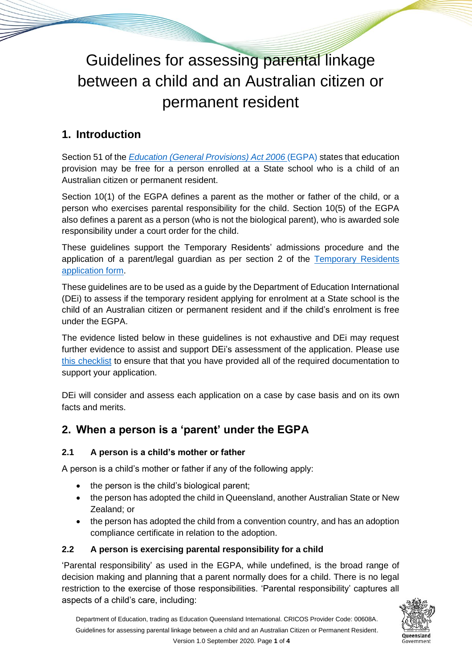# Guidelines for assessing parental linkage between a child and an Australian citizen or permanent resident

# **1. Introduction**

Section 51 of the *[Education \(General Provisions\) Act 2006](https://www.legislation.qld.gov.au/view/html/inforce/current/act-2006-039)* (EGPA) states that education provision may be free for a person enrolled at a State school who is a child of an Australian citizen or permanent resident.

Section 10(1) of the EGPA defines a parent as the mother or father of the child, or a person who exercises parental responsibility for the child. Section 10(5) of the EGPA also defines a parent as a person (who is not the biological parent), who is awarded sole responsibility under a court order for the child.

These guidelines support the Temporary Residents' admissions procedure and the application of a parent/legal guardian as per section 2 of the Temporary Residents [application form.](https://eqi.com.au/study-options/temporary-residents)

These guidelines are to be used as a guide by the Department of Education International (DEi) to assess if the temporary resident applying for enrolment at a State school is the child of an Australian citizen or permanent resident and if the child's enrolment is free under the EGPA.

The evidence listed below in these guidelines is not exhaustive and DEi may request further evidence to assist and support DEi's assessment of the application. Please use [this checklist](https://eqi.com.au/tracpdf/checklist-assessment-parental-linkage.pdf) to ensure that that you have provided all of the required documentation to support your application.

DEi will consider and assess each application on a case by case basis and on its own facts and merits.

## **2. When a person is a 'parent' under the EGPA**

#### **2.1 A person is a child's mother or father**

A person is a child's mother or father if any of the following apply:

- the person is the child's biological parent;
- the person has adopted the child in Queensland, another Australian State or New Zealand; or
- the person has adopted the child from a convention country, and has an adoption compliance certificate in relation to the adoption.

#### **2.2 A person is exercising parental responsibility for a child**

'Parental responsibility' as used in the EGPA, while undefined, is the broad range of decision making and planning that a parent normally does for a child. There is no legal restriction to the exercise of those responsibilities. 'Parental responsibility' captures all aspects of a child's care, including:

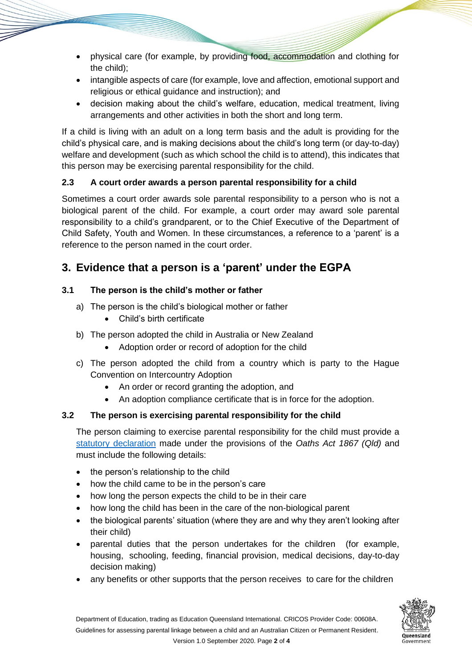- physical care (for example, by providing food, accommodation and clothing for the child);
- intangible aspects of care (for example, love and affection, emotional support and religious or ethical guidance and instruction); and
- decision making about the child's welfare, education, medical treatment, living arrangements and other activities in both the short and long term.

If a child is living with an adult on a long term basis and the adult is providing for the child's physical care, and is making decisions about the child's long term (or day-to-day) welfare and development (such as which school the child is to attend), this indicates that this person may be exercising parental responsibility for the child.

#### **2.3 A court order awards a person parental responsibility for a child**

Sometimes a court order awards sole parental responsibility to a person who is not a biological parent of the child. For example, a court order may award sole parental responsibility to a child's grandparent, or to the Chief Executive of the Department of Child Safety, Youth and Women. In these circumstances, a reference to a 'parent' is a reference to the person named in the court order.

## **3. Evidence that a person is a 'parent' under the EGPA**

#### **3.1 The person is the child's mother or father**

- a) The person is the child's biological mother or father
	- Child's birth certificate
- b) The person adopted the child in Australia or New Zealand
	- Adoption order or record of adoption for the child
- c) The person adopted the child from a country which is party to the Hague Convention on Intercountry Adoption
	- An order or record granting the adoption, and
	- An adoption compliance certificate that is in force for the adoption.

#### **3.2 The person is exercising parental responsibility for the child**

The person claiming to exercise parental responsibility for the child must provide a [statutory declaration](https://eqi.com.au/tracpdf/statutory-declaration-form.pdf) made under the provisions of the *Oaths Act 1867 (Qld)* and must include the following details:

- the person's relationship to the child
- how the child came to be in the person's care
- how long the person expects the child to be in their care
- how long the child has been in the care of the non-biological parent
- the biological parents' situation (where they are and why they aren't looking after their child)
- parental duties that the person undertakes for the children (for example, housing,**,** schooling, feeding, financial provision, medical decisions, day-to-day decision making)
- any benefits or other supports that the person receives to care for the children

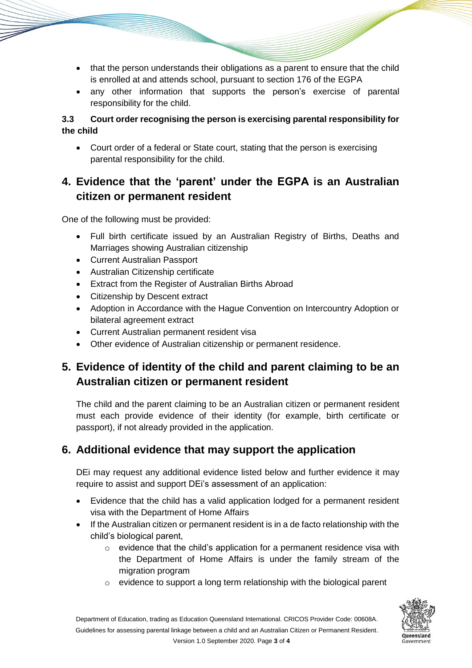- that the person understands their obligations as a parent to ensure that the child is enrolled at and attends school, pursuant to section 176 of the EGPA
- any other information that supports the person's exercise of parental responsibility for the child.

#### **3.3 Court order recognising the person is exercising parental responsibility for the child**

• Court order of a federal or State court, stating that the person is exercising parental responsibility for the child.

## **4. Evidence that the 'parent' under the EGPA is an Australian citizen or permanent resident**

One of the following must be provided:

- Full birth certificate issued by an Australian Registry of Births, Deaths and Marriages showing Australian citizenship
- Current Australian Passport
- Australian Citizenship certificate
- Extract from the Register of Australian Births Abroad
- Citizenship by Descent extract
- Adoption in Accordance with the Hague Convention on Intercountry Adoption or bilateral agreement extract
- Current Australian permanent resident visa
- Other evidence of Australian citizenship or permanent residence.

## **5. Evidence of identity of the child and parent claiming to be an Australian citizen or permanent resident**

The child and the parent claiming to be an Australian citizen or permanent resident must each provide evidence of their identity (for example, birth certificate or passport), if not already provided in the application.

## **6. Additional evidence that may support the application**

DEi may request any additional evidence listed below and further evidence it may require to assist and support DEi's assessment of an application:

- Evidence that the child has a valid application lodged for a permanent resident visa with the Department of Home Affairs
- If the Australian citizen or permanent resident is in a de facto relationship with the child's biological parent,
	- $\circ$  evidence that the child's application for a permanent residence visa with the Department of Home Affairs is under the family stream of the migration program
	- o evidence to support a long term relationship with the biological parent